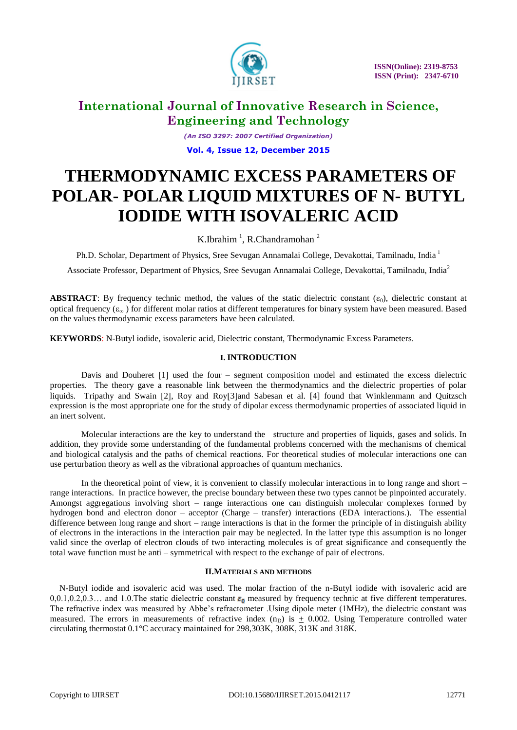

*(An ISO 3297: 2007 Certified Organization)* **Vol. 4, Issue 12, December 2015**

# **THERMODYNAMIC EXCESS PARAMETERS OF POLAR- POLAR LIQUID MIXTURES OF N- BUTYL IODIDE WITH ISOVALERIC ACID**

### K.Ibrahim<sup>1</sup>, R.Chandramohan<sup>2</sup>

Ph.D. Scholar, Department of Physics, Sree Sevugan Annamalai College, Devakottai, Tamilnadu, India <sup>1</sup>

Associate Professor, Department of Physics, Sree Sevugan Annamalai College, Devakottai, Tamilnadu, India<sup>2</sup>

**ABSTRACT**: By frequency technic method, the values of the static dielectric constant  $(\epsilon_0)$ , dielectric constant at optical frequency ( $\varepsilon_x$ ) for different molar ratios at different temperatures for binary system have been measured. Based on the values thermodynamic excess parameters have been calculated.

**KEYWORDS**: N-Butyl iodide, isovaleric acid, Dielectric constant, Thermodynamic Excess Parameters.

### **I. INTRODUCTION**

Davis and Douheret  $[1]$  used the four – segment composition model and estimated the excess dielectric properties. The theory gave a reasonable link between the thermodynamics and the dielectric properties of polar liquids. Tripathy and Swain [2], Roy and Roy[3]and Sabesan et al. [4] found that Winklenmann and Quitzsch expression is the most appropriate one for the study of dipolar excess thermodynamic properties of associated liquid in an inert solvent.

Molecular interactions are the key to understand the structure and properties of liquids, gases and solids. In addition, they provide some understanding of the fundamental problems concerned with the mechanisms of chemical and biological catalysis and the paths of chemical reactions. For theoretical studies of molecular interactions one can use perturbation theory as well as the vibrational approaches of quantum mechanics.

In the theoretical point of view, it is convenient to classify molecular interactions in to long range and short – range interactions. In practice however, the precise boundary between these two types cannot be pinpointed accurately. Amongst aggregations involving short – range interactions one can distinguish molecular complexes formed by hydrogen bond and electron donor – acceptor (Charge – transfer) interactions (EDA interactions.). The essential difference between long range and short – range interactions is that in the former the principle of in distinguish ability of electrons in the interactions in the interaction pair may be neglected. In the latter type this assumption is no longer valid since the overlap of electron clouds of two interacting molecules is of great significance and consequently the total wave function must be anti – symmetrical with respect to the exchange of pair of electrons.

### **II.MATERIALS AND METHODS**

N-Butyl iodide and isovaleric acid was used. The molar fraction of the n-Butyl iodide with isovaleric acid are  $0.0.1, 0.2, 0.3...$  and 1.0. The static dielectric constant  $\varepsilon_0$  measured by frequency technic at five different temperatures. The refractive index was measured by Abbe's refractometer .Using dipole meter (1MHz), the dielectric constant was measured. The errors in measurements of refractive index  $(n_D)$  is  $+$  0.002. Using Temperature controlled water circulating thermostat 0.1°C accuracy maintained for 298,303K, 308K, 313K and 318K.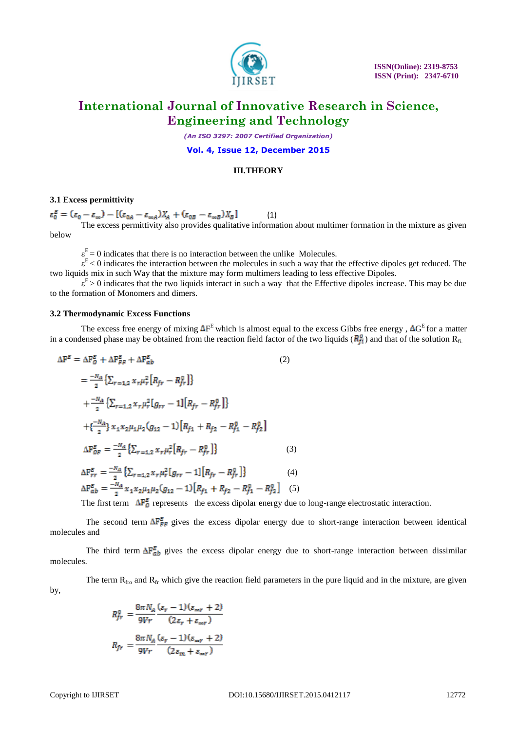

*(An ISO 3297: 2007 Certified Organization)*

#### **Vol. 4, Issue 12, December 2015**

#### **III.THEORY**

#### **3.1 Excess permittivity**

 $(1)$ 

The excess permittivity also provides qualitative information about multimer formation in the mixture as given below

 $\varepsilon^{E} = 0$  indicates that there is no interaction between the unlike Molecules.

 $\varepsilon^E$  < 0 indicates the interaction between the molecules in such a way that the effective dipoles get reduced. The two liquids mix in such Way that the mixture may form multimers leading to less effective Dipoles.

 $\varepsilon^E > 0$  indicates that the two liquids interact in such a way that the Effective dipoles increase. This may be due to the formation of Monomers and dimers.

#### **3.2 Thermodynamic Excess Functions**

The excess free energy of mixing  $\Delta F^E$  which is almost equal to the excess Gibbs free energy,  $\Delta G^E$  for a matter in a condensed phase may be obtained from the reaction field factor of the two liquids  $(R_f^0)$  and that of the solution  $R_{fi}$ .

$$
\Delta F^{E} = \Delta F_{0}^{E} + \Delta F_{FF}^{E} + \Delta F_{ab}^{E}
$$
\n
$$
= \frac{-N_{A}}{2} \left\{ \sum_{r=1,2} x_{r} \mu_{r}^{2} \left[ R_{fr} - R_{fr}^{0} \right] \right\}
$$
\n
$$
+ \frac{-N_{A}}{2} \left\{ \sum_{r=1,2} x_{r} \mu_{r}^{2} \left[ g_{rr} - 1 \right] \left[ R_{fr} - R_{fr}^{0} \right] \right\}
$$
\n
$$
+ \left\{ \frac{-N_{A}}{2} \right\} x_{1} x_{2} \mu_{1} \mu_{2} (g_{12} - 1) \left[ R_{f1} + R_{f2} - R_{f1}^{0} - R_{f2}^{0} \right]
$$
\n
$$
\Delta F_{OF}^{E} = \frac{-N_{A}}{2} \left\{ \sum_{r=1,2} x_{r} \mu_{r}^{2} \left[ R_{fr} - R_{fr}^{0} \right] \right\}
$$
\n
$$
\Delta F_{rr}^{E} = \frac{-N_{A}}{2} \left\{ \sum_{r=1,2} x_{r} \mu_{r}^{2} \left[ g_{rr} - 1 \right] \left[ R_{fr} - R_{fr}^{0} \right] \right\}
$$
\n
$$
\Delta F_{ab}^{E} = \frac{-N_{A}}{2} x_{1} x_{2} \mu_{1} \mu_{2} (g_{12} - 1) \left[ R_{f1} + R_{f2} - R_{f1}^{0} - R_{f2}^{0} \right] \tag{5}
$$

The first term  $\Delta F_0^E$  represents the excess dipolar energy due to long-range electrostatic interaction.

The second term  $\Delta F_{FF}^E$  gives the excess dipolar energy due to short-range interaction between identical molecules and

The third term  $\Delta F_{ab}^E$  gives the excess dipolar energy due to short-range interaction between dissimilar molecules.

The term  $R_{\text{fro}}$  and  $R_{\text{fro}}$  which give the reaction field parameters in the pure liquid and in the mixture, are given by,

$$
\begin{split} R_{fr}^0&=\frac{8\pi N_A}{9V r}\frac{(\varepsilon_r-1)(\varepsilon_{\infty r}+2)}{(2\varepsilon_r+\varepsilon_{\infty r})}\\ R_{fr} &=\frac{8\pi N_A}{9V r}\frac{(\varepsilon_r-1)(\varepsilon_{\infty r}+2)}{(2\varepsilon_m+\varepsilon_{\infty r})} \end{split}
$$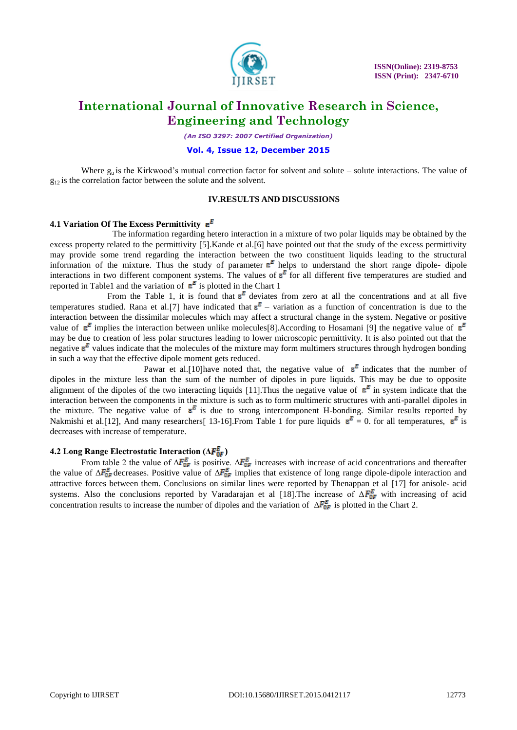

*(An ISO 3297: 2007 Certified Organization)*

#### **Vol. 4, Issue 12, December 2015**

Where  $g_{\mu}$  is the Kirkwood's mutual correction factor for solvent and solute – solute interactions. The value of  $g_{12}$  is the correlation factor between the solute and the solvent.

#### **IV.RESULTS AND DISCUSSIONS**

#### **4.1 Variation Of The Excess Permittivity**

The information regarding hetero interaction in a mixture of two polar liquids may be obtained by the excess property related to the permittivity [5]. Kande et al. [6] have pointed out that the study of the excess permittivity may provide some trend regarding the interaction between the two constituent liquids leading to the structural information of the mixture. Thus the study of parameter  $\epsilon^E$  helps to understand the short range dipole- dipoleinteractions in two different component systems. The values of  $\varepsilon^E$  for all different five temperatures are studied and reported in Table1 and the variation of  $\epsilon^E$  is plotted in the Chart 1

From the Table 1, it is found that  $\epsilon^E$  deviates from zero at all the concentrations and at all five temperatures studied. Rana et al. [7] have indicated that  $\varepsilon^E$  – variation as a function of concentration is due to the interaction between the dissimilar molecules which may affect a structural change in the system. Negative or positive value of  $\epsilon^E$  implies the interaction between unlike molecules [8]. According to Hosamani [9] the negative value of  $\epsilon^E$ may be due to creation of less polar structures leading to lower microscopic permittivity. It is also pointed out that the negative  $\epsilon^E$  values indicate that the molecules of the mixture may form multimers structures through hydrogen bonding in such a way that the effective dipole moment gets reduced.

Pawar et al. [10] have noted that, the negative value of  $\epsilon^E$  indicates that the number of dipoles in the mixture less than the sum of the number of dipoles in pure liquids. This may be due to opposite alignment of the dipoles of the two interacting liquids [11]. Thus the negative value of  $\varepsilon^E$  in system indicate that the interaction between the components in the mixture is such as to form multimeric structures with anti-parallel dipoles in the mixture. The negative value of  $\epsilon^E$  is due to strong intercomponent H-bonding. Similar results reported by Nakmishi et al. [12], And many researchers [13-16]. From Table 1 for pure liquids  $\epsilon^E = 0$ . for all temperatures,  $\epsilon^E$  is decreases with increase of temperature.

#### **4.2 Long Range Electrostatic Interaction (Δ** $\overline{F}_{0F}^E$ **)**

From table 2 the value of  $\Delta F_{0F}^E$  is positive.  $\Delta F_{0F}^E$  increases with increase of acid concentrations and thereafter the value of  $\Delta F_{0F}^E$  decreases. Positive value of  $\Delta F_{0F}^E$  implies that existence of long range dipole-dipole interaction and attractive forces between them. Conclusions on similar lines were reported by Thenappan et al [17] for anisole- acid systems. Also the conclusions reported by Varadarajan et al [18]. The increase of  $\Delta F_{\text{OF}}^E$  with increasing of acid concentration results to increase the number of dipoles and the variation of  $\Delta F_{0F}^E$  is plotted in the Chart 2.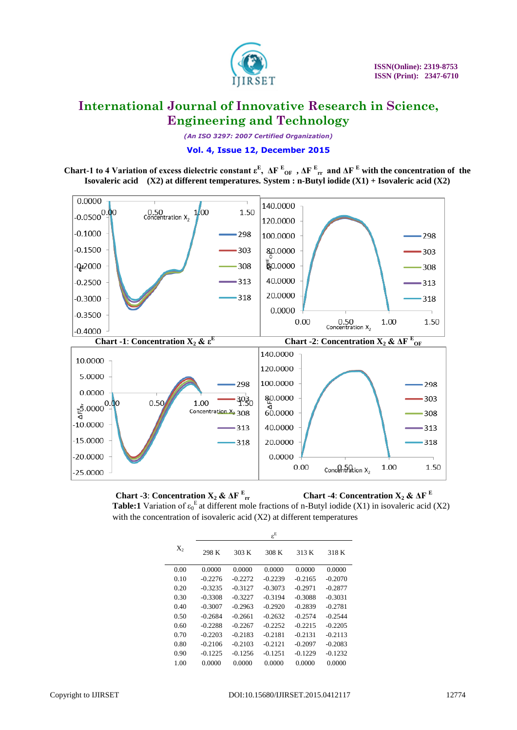

*(An ISO 3297: 2007 Certified Organization)*

#### **Vol. 4, Issue 12, December 2015**

**Chart-1** to 4 Variation of excess dielectric constant  $\epsilon^E$ ,  $\Delta F^E_{\text{OF}}$ ,  $\Delta F^E_{\text{rr}}$  and  $\Delta F^E$  with the concentration of the **Isovaleric acid (X2) at different temperatures. System : n-Butyl iodide (X1) + Isovaleric acid (X2)**



**Chart -3: Concentration**  $X_2$  **&**  $\Delta F$ **<sup>E</sup>**<sub>rr</sub> **Chart -4: Concentration**  $X_2 \& \Delta F$ **<sup>E</sup> Table:1** Variation of  $\varepsilon_0^E$  at different mole fractions of n-Butyl iodide (X1) in isovaleric acid (X2) with the concentration of isovaleric acid (X2) at different temperatures

|       |           |           | $\varepsilon^{\text{E}}$ |           |           |  |  |
|-------|-----------|-----------|--------------------------|-----------|-----------|--|--|
| $X_2$ | 298 K     | 303 K     | 308 K                    | 313 K     | 318 K     |  |  |
| 0.00  | 0.0000    | 0.0000    | 0.0000                   | 0.0000    | 0.0000    |  |  |
| 0.10  | $-0.2276$ | $-0.2272$ | $-0.2239$                | $-0.2165$ | $-0.2070$ |  |  |
| 0.20  | $-0.3235$ | $-0.3127$ | $-0.3073$                | $-0.2971$ | $-0.2877$ |  |  |
| 0.30  | -0.3308   | $-0.3227$ | $-0.3194$                | $-0.3088$ | $-0.3031$ |  |  |
| 0.40  | $-0.3007$ | $-0.2963$ | $-0.2920$                | $-0.2839$ | $-0.2781$ |  |  |
| 0.50  | -0.2684   | $-0.2661$ | $-0.2632$                | $-0.2574$ | $-0.2544$ |  |  |
| 0.60  | $-0.2288$ | $-0.2267$ | $-0.2252$                | $-0.2215$ | $-0.2205$ |  |  |
| 0.70  | $-0.2203$ | $-0.2183$ | $-0.2181$                | $-0.2131$ | $-0.2113$ |  |  |
| 0.80  | $-0.2106$ | $-0.2103$ | $-0.2121$                | $-0.2097$ | $-0.2083$ |  |  |
| 0.90  | $-0.1225$ | $-0.1256$ | $-0.1251$                | $-0.1229$ | $-0.1232$ |  |  |
| 1.00  | 0.0000    | 0.0000    | 0.0000                   | 0.0000    | 0.0000    |  |  |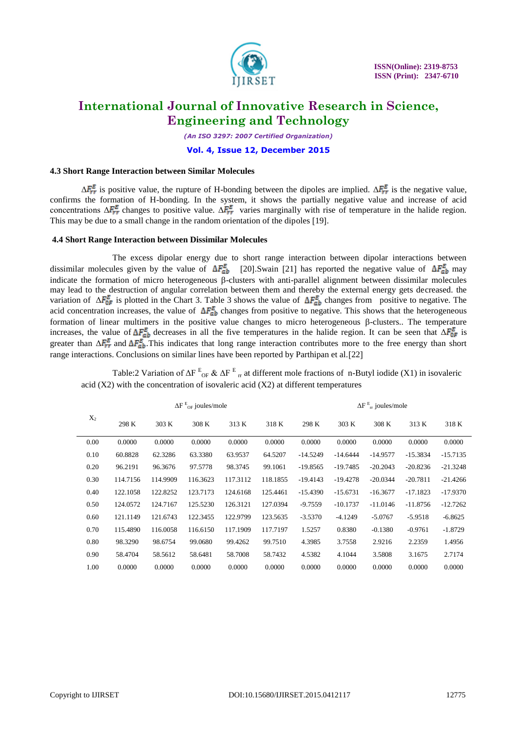

*(An ISO 3297: 2007 Certified Organization)*

#### **Vol. 4, Issue 12, December 2015**

#### **4.3 Short Range Interaction between Similar Molecules**

 $\Delta F_{rr}^E$  is positive value, the rupture of H-bonding between the dipoles are implied.  $\Delta F_{rr}^E$  is the negative value, confirms the formation of H-bonding. In the system, it shows the partially negative value and increase of acid concentrations  $\Delta F_{rr}^E$  changes to positive value.  $\Delta F_{rr}^E$  varies marginally with rise of temperature in the halide region. This may be due to a small change in the random orientation of the dipoles [19].

#### **4.4 Short Range Interaction between Dissimilar Molecules**

The excess dipolar energy due to short range interaction between dipolar interactions between dissimilar molecules given by the value of  $\Delta F_{ab}^E$  [20]. Swain [21] has reported the negative value of  $\Delta F_{ab}^E$  may indicate the formation of micro heterogeneous  $\beta$ -clusters with anti-parallel alignment between dissimilar molecules may lead to the destruction of angular correlation between them and thereby the external energy gets decreased. the variation of  $\Delta F_{\text{OF}}^E$  is plotted in the Chart 3. Table 3 shows the value of  $\Delta F_{ab}^E$  changes from positive to negative. The acid concentration increases, the value of  $\Delta F_{ab}^E$  changes from positive to negative. This shows that the heterogeneous formation of linear multimers in the positive value changes to micro heterogeneous  $\beta$ -clusters.. The temperature increases, the value of  $\Delta F_{\text{or}}^E$  decreases in all the five temperatures in the halide region. It can be seen that  $\Delta F_{\text{or}}^E$  is greater than  $\Delta F_{rr}^E$  and  $\Delta F_{ab}^E$ . This indicates that long range interaction contributes more to the free energy than short range interactions. Conclusions on similar lines have been reported by Parthipan et al.[22]

Table:2 Variation of  $\Delta F^E_{\text{OF}} \& \Delta F^E_{\text{Tr}}$  at different mole fractions of n-Butyl iodide (X1) in isovaleric acid  $(X2)$  with the concentration of isovaleric acid  $(X2)$  at different temperatures

|       | $\Delta F$ $_{\mathrm{OF}}^{\mathrm{E}}$ joules/mole |          |          |          |          | $\Delta F_{rr}^E$ joules/mole |            |            |            |            |
|-------|------------------------------------------------------|----------|----------|----------|----------|-------------------------------|------------|------------|------------|------------|
| $X_2$ | 298 K                                                | 303 K    | 308 K    | 313 K    | 318 K    | 298 K                         | 303 K      | 308 K      | 313 K      | 318 K      |
| 0.00  | 0.0000                                               | 0.0000   | 0.0000   | 0.0000   | 0.0000   | 0.0000                        | 0.0000     | 0.0000     | 0.0000     | 0.0000     |
| 0.10  | 60.8828                                              | 62.3286  | 63.3380  | 63.9537  | 64.5207  | $-14.5249$                    | $-14.6444$ | $-14.9577$ | $-15.3834$ | $-15.7135$ |
| 0.20  | 96.2191                                              | 96.3676  | 97.5778  | 98.3745  | 99.1061  | $-19.8565$                    | $-19.7485$ | $-20.2043$ | $-20.8236$ | $-21.3248$ |
| 0.30  | 114.7156                                             | 114.9909 | 116.3623 | 117.3112 | 118.1855 | $-19.4143$                    | $-19.4278$ | $-20.0344$ | $-20.7811$ | $-21.4266$ |
| 0.40  | 122.1058                                             | 122.8252 | 123.7173 | 124.6168 | 125.4461 | $-15.4390$                    | $-15.6731$ | $-16.3677$ | $-17.1823$ | $-17.9370$ |
| 0.50  | 124.0572                                             | 124.7167 | 125.5230 | 126.3121 | 127.0394 | $-9.7559$                     | $-10.1737$ | $-11.0146$ | $-11.8756$ | $-12.7262$ |
| 0.60  | 121.1149                                             | 121.6743 | 122.3455 | 122.9799 | 123.5635 | $-3.5370$                     | $-4.1249$  | $-5.0767$  | $-5.9518$  | $-6.8625$  |
| 0.70  | 115.4890                                             | 116.0058 | 116.6150 | 117.1909 | 117.7197 | 1.5257                        | 0.8380     | $-0.1380$  | $-0.9761$  | $-1.8729$  |
| 0.80  | 98.3290                                              | 98.6754  | 99.0680  | 99.4262  | 99.7510  | 4.3985                        | 3.7558     | 2.9216     | 2.2359     | 1.4956     |
| 0.90  | 58.4704                                              | 58.5612  | 58.6481  | 58.7008  | 58.7432  | 4.5382                        | 4.1044     | 3.5808     | 3.1675     | 2.7174     |
| 1.00  | 0.0000                                               | 0.0000   | 0.0000   | 0.0000   | 0.0000   | 0.0000                        | 0.0000     | 0.0000     | 0.0000     | 0.0000     |